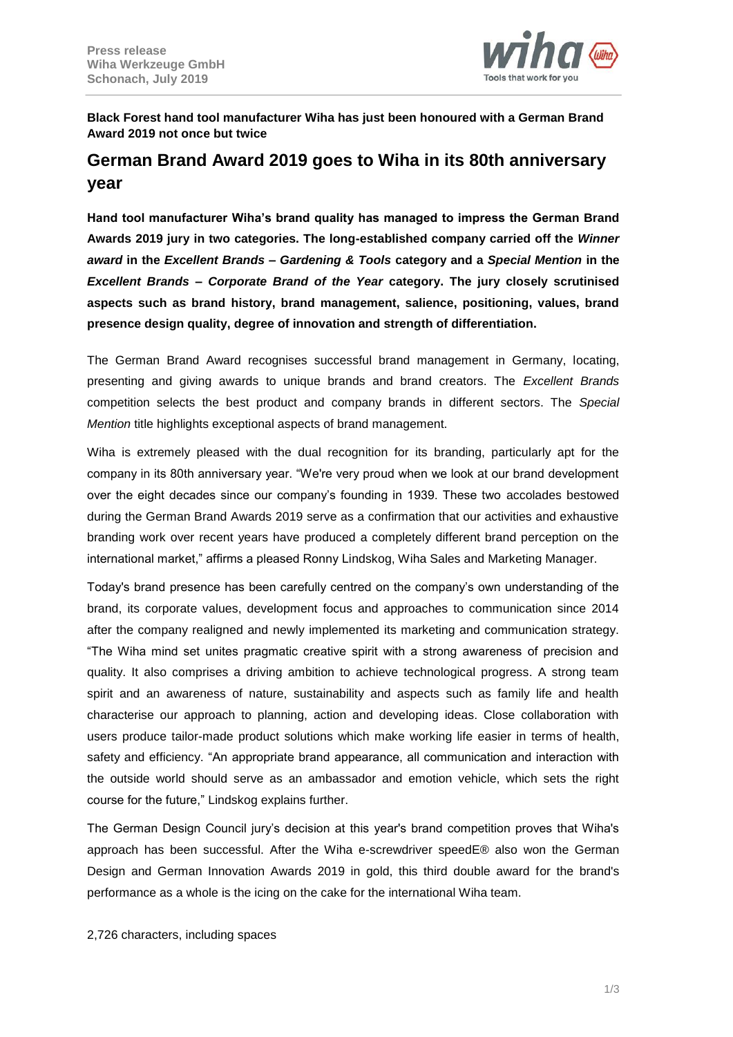

**Black Forest hand tool manufacturer Wiha has just been honoured with a German Brand Award 2019 not once but twice**

# **German Brand Award 2019 goes to Wiha in its 80th anniversary year**

**Hand tool manufacturer Wiha's brand quality has managed to impress the German Brand Awards 2019 jury in two categories. The long-established company carried off the** *Winner award* **in the** *Excellent Brands – Gardening & Tools* **category and a** *Special Mention* **in the** *Excellent Brands – Corporate Brand of the Year* **category. The jury closely scrutinised aspects such as brand history, brand management, salience, positioning, values, brand presence design quality, degree of innovation and strength of differentiation.**

The German Brand Award recognises successful brand management in Germany, locating, presenting and giving awards to unique brands and brand creators. The *Excellent Brands*  competition selects the best product and company brands in different sectors. The *Special Mention* title highlights exceptional aspects of brand management.

Wiha is extremely pleased with the dual recognition for its branding, particularly apt for the company in its 80th anniversary year. "We're very proud when we look at our brand development over the eight decades since our company's founding in 1939. These two accolades bestowed during the German Brand Awards 2019 serve as a confirmation that our activities and exhaustive branding work over recent years have produced a completely different brand perception on the international market," affirms a pleased Ronny Lindskog, Wiha Sales and Marketing Manager.

Today's brand presence has been carefully centred on the company's own understanding of the brand, its corporate values, development focus and approaches to communication since 2014 after the company realigned and newly implemented its marketing and communication strategy. "The Wiha mind set unites pragmatic creative spirit with a strong awareness of precision and quality. It also comprises a driving ambition to achieve technological progress. A strong team spirit and an awareness of nature, sustainability and aspects such as family life and health characterise our approach to planning, action and developing ideas. Close collaboration with users produce tailor-made product solutions which make working life easier in terms of health, safety and efficiency. "An appropriate brand appearance, all communication and interaction with the outside world should serve as an ambassador and emotion vehicle, which sets the right course for the future," Lindskog explains further.

The German Design Council jury's decision at this year's brand competition proves that Wiha's approach has been successful. After the Wiha e-screwdriver speedE® also won the German Design and German Innovation Awards 2019 in gold, this third double award for the brand's performance as a whole is the icing on the cake for the international Wiha team.

2,726 characters, including spaces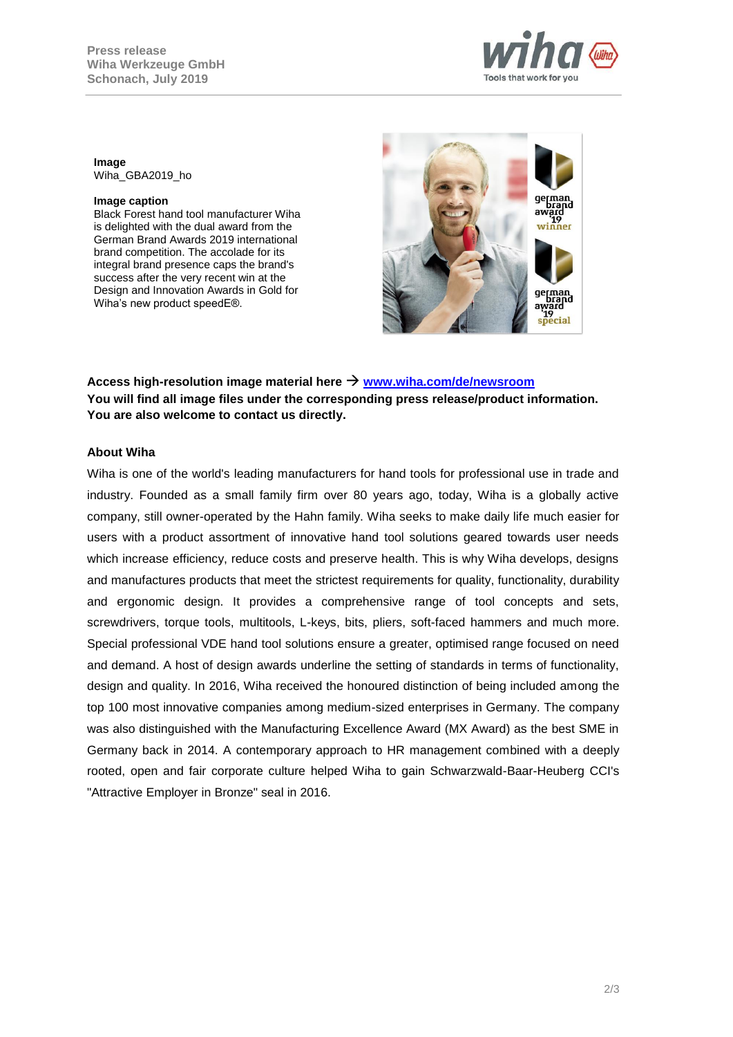

#### **Image** Wiha\_GBA2019\_ho

#### **Image caption**

Black Forest hand tool manufacturer Wiha is delighted with the dual award from the German Brand Awards 2019 international brand competition. The accolade for its integral brand presence caps the brand's success after the very recent win at the Design and Innovation Awards in Gold for Wiha's new product speedE®.



**Access high-resolution image material here [www.wiha.com/de/newsroom](http://www.wiha.com/de/newsroom) You will find all image files under the corresponding press release/product information. You are also welcome to contact us directly.**

## **About Wiha**

Wiha is one of the world's leading manufacturers for hand tools for professional use in trade and industry. Founded as a small family firm over 80 years ago, today, Wiha is a globally active company, still owner-operated by the Hahn family. Wiha seeks to make daily life much easier for users with a product assortment of innovative hand tool solutions geared towards user needs which increase efficiency, reduce costs and preserve health. This is why Wiha develops, designs and manufactures products that meet the strictest requirements for quality, functionality, durability and ergonomic design. It provides a comprehensive range of tool concepts and sets, screwdrivers, torque tools, multitools, L-keys, bits, pliers, soft-faced hammers and much more. Special professional VDE hand tool solutions ensure a greater, optimised range focused on need and demand. A host of design awards underline the setting of standards in terms of functionality, design and quality. In 2016, Wiha received the honoured distinction of being included among the top 100 most innovative companies among medium-sized enterprises in Germany. The company was also distinguished with the Manufacturing Excellence Award (MX Award) as the best SME in Germany back in 2014. A contemporary approach to HR management combined with a deeply rooted, open and fair corporate culture helped Wiha to gain Schwarzwald-Baar-Heuberg CCI's "Attractive Employer in Bronze" seal in 2016.